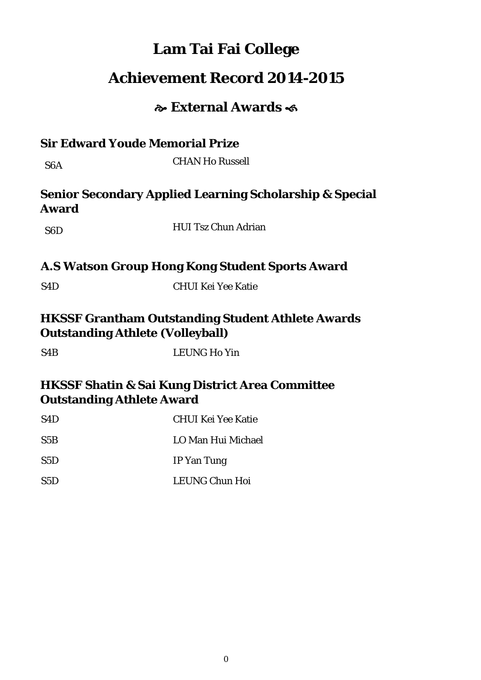# **Lam Tai Fai College**

# **Achievement Record 2014-2015**

# **External Awards**

| <b>Sir Edward Youde Memorial Prize</b>  |                                                                    |
|-----------------------------------------|--------------------------------------------------------------------|
| S <sub>6</sub> A                        | <b>CHAN Ho Russell</b>                                             |
| <b>Award</b>                            | <b>Senior Secondary Applied Learning Scholarship &amp; Special</b> |
| S <sub>6</sub> D                        | <b>HUI Tsz Chun Adrian</b>                                         |
|                                         | A.S Watson Group Hong Kong Student Sports Award                    |
| S <sub>4</sub> D                        | <b>CHUI Kei Yee Katie</b>                                          |
| <b>Outstanding Athlete (Volleyball)</b> | <b>HKSSF Grantham Outstanding Student Athlete Awards</b>           |
| S <sub>4</sub> B                        | <b>LEUNG Ho Yin</b>                                                |
| <b>Outstanding Athlete Award</b>        | <b>HKSSF Shatin &amp; Sai Kung District Area Committee</b>         |
| S <sub>4</sub> D                        | <b>CHUI Kei Yee Katie</b>                                          |

| ◡   | <u>UHUI IWI TUU IMILIU</u> |
|-----|----------------------------|
| S5B | LO Man Hui Michael         |
| S5D | IP Yan Tung                |
| S5D | LEUNG Chun Hoi             |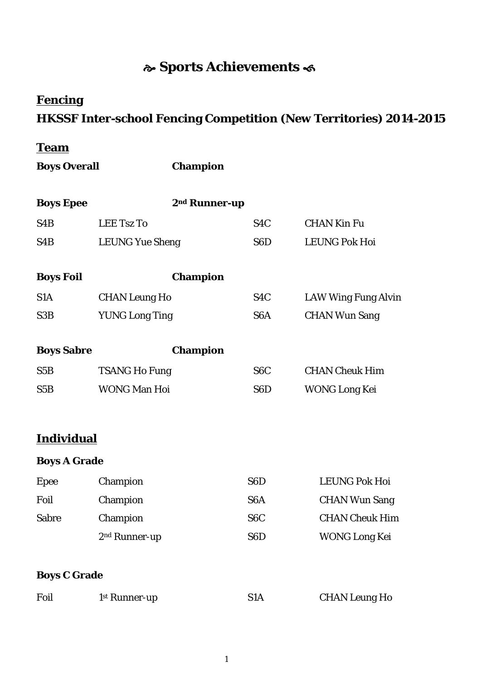# **Sports Achievements**

## **Fencing**

## **HKSSF Inter-school Fencing Competition (New Territories) 2014-2015**

## **Team**

**Boys Overall Champion**

| <b>Boys Epee</b>    | 2 <sup>nd</sup> Runner-up |                  |                            |
|---------------------|---------------------------|------------------|----------------------------|
| S <sub>4</sub> B    | <b>LEE Tsz To</b>         | S <sub>4</sub> C | <b>CHAN Kin Fu</b>         |
| S <sub>4</sub> B    | <b>LEUNG Yue Sheng</b>    | S <sub>6</sub> D | <b>LEUNG Pok Hoi</b>       |
|                     |                           |                  |                            |
| <b>Boys Foil</b>    | <b>Champion</b>           |                  |                            |
| S <sub>1</sub> A    | <b>CHAN Leung Ho</b>      | S <sub>4</sub> C | <b>LAW Wing Fung Alvin</b> |
| S <sub>3</sub> B    | <b>YUNG Long Ting</b>     | S <sub>6</sub> A | <b>CHAN Wun Sang</b>       |
|                     |                           |                  |                            |
| <b>Boys Sabre</b>   | <b>Champion</b>           |                  |                            |
| S5B                 | <b>TSANG Ho Fung</b>      | S <sub>6</sub> C | <b>CHAN Cheuk Him</b>      |
| S5B                 | <b>WONG Man Hoi</b>       | S <sub>6</sub> D | <b>WONG Long Kei</b>       |
|                     |                           |                  |                            |
| <b>Individual</b>   |                           |                  |                            |
| <b>Boys A Grade</b> |                           |                  |                            |
| Epee                | Champion                  | S <sub>6</sub> D | <b>LEUNG Pok Hoi</b>       |
| Foil                | Champion                  | S <sub>6</sub> A | <b>CHAN Wun Sang</b>       |
| <b>Sabre</b>        | Champion                  | S <sub>6</sub> C | <b>CHAN Cheuk Him</b>      |
|                     | 2 <sup>nd</sup> Runner-up | S <sub>6</sub> D | <b>WONG Long Kei</b>       |
|                     |                           |                  |                            |

#### **Boys C Grade**

| Foil | 1 <sup>st</sup> Runner-up | <b>CHAN Leung Ho</b> |
|------|---------------------------|----------------------|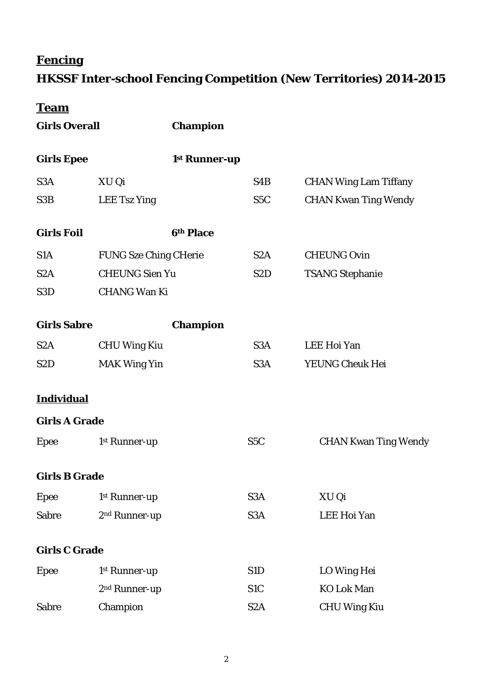# **Fencing**

# **HKSSF Inter-school Fencing Competition (New Territories) 2014-2015**

| <b>Girls Overall</b> |                              | <b>Champion</b> |                  |                              |
|----------------------|------------------------------|-----------------|------------------|------------------------------|
| <b>Girls Epee</b>    |                              | 1st Runner-up   |                  |                              |
| S3A                  | XU Qi                        |                 | S4B              | <b>CHAN Wing Lam Tiffany</b> |
| S3B                  | <b>LEE Tsz Ying</b>          |                 | S <sub>5</sub> C | <b>CHAN Kwan Ting Wendy</b>  |
| <b>Girls Foil</b>    |                              | 6th Place       |                  |                              |
| S <sub>1</sub> A     | <b>FUNG Sze Ching CHerie</b> |                 | S <sub>2</sub> A | <b>CHEUNG Ovin</b>           |
| S <sub>2</sub> A     | <b>CHEUNG Sien Yu</b>        |                 | S <sub>2</sub> D | <b>TSANG Stephanie</b>       |
| S3D                  | <b>CHANG Wan Ki</b>          |                 |                  |                              |
| <b>Girls Sabre</b>   |                              | <b>Champion</b> |                  |                              |
| S <sub>2</sub> A     | <b>CHU Wing Kiu</b>          |                 | S <sub>3</sub> A | LEE Hoi Yan                  |
| S <sub>2</sub> D     | <b>MAK Wing Yin</b>          |                 | S <sub>3</sub> A | YEUNG Cheuk Hei              |
| <b>Individual</b>    |                              |                 |                  |                              |
| <b>Girls A Grade</b> |                              |                 |                  |                              |
| Epee                 | 1st Runner-up                |                 | S <sub>5</sub> C | <b>CHAN Kwan Ting Wendy</b>  |
| <b>Girls B Grade</b> |                              |                 |                  |                              |
| <b>Epee</b>          | 1st Runner-up                |                 | S <sub>3</sub> A | XU Qi                        |
| <b>Sabre</b>         | 2 <sup>nd</sup> Runner-up    |                 | S <sub>3</sub> A | LEE Hoi Yan                  |
| <b>Girls C Grade</b> |                              |                 |                  |                              |
| Epee                 | 1st Runner-up                |                 | S1D              | LO Wing Hei                  |
|                      | 2 <sup>nd</sup> Runner-up    |                 | S <sub>1</sub> C | <b>KO Lok Man</b>            |
| <b>Sabre</b>         | Champion                     |                 | S <sub>2</sub> A | <b>CHU Wing Kiu</b>          |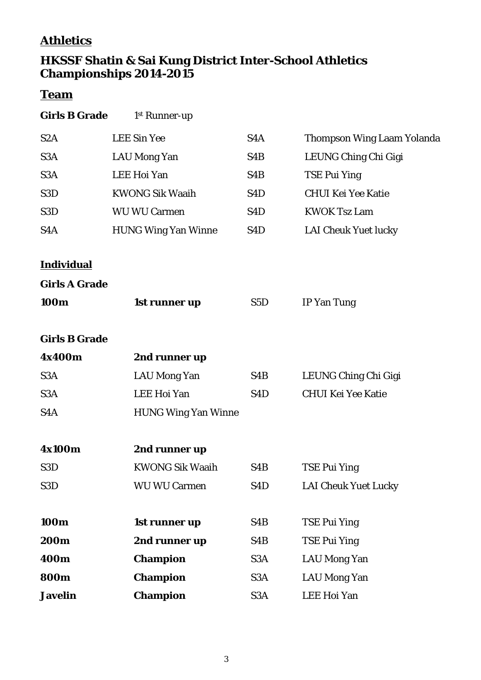## **Athletics**

### **HKSSF Shatin & Sai Kung District Inter-School Athletics Championships 2014-2015**

| <b>Girls B Grade</b> | 1 <sup>st</sup> Runner-up |
|----------------------|---------------------------|
|                      |                           |

| S <sub>2</sub> A     | <b>LEE Sin Yee</b>         | S4A              | <b>Thompson Wing Laam Yolanda</b> |
|----------------------|----------------------------|------------------|-----------------------------------|
| S <sub>3</sub> A     | <b>LAU Mong Yan</b>        | S4B              | LEUNG Ching Chi Gigi              |
| S <sub>3</sub> A     | <b>LEE Hoi Yan</b>         | S4B              | <b>TSE Pui Ying</b>               |
| S <sub>3</sub> D     | <b>KWONG Sik Waaih</b>     | S <sub>4</sub> D | <b>CHUI Kei Yee Katie</b>         |
| S <sub>3</sub> D     | <b>WU WU Carmen</b>        | S <sub>4</sub> D | <b>KWOK Tsz Lam</b>               |
| S <sub>4</sub> A     | <b>HUNG Wing Yan Winne</b> | S <sub>4</sub> D | <b>LAI Cheuk Yuet lucky</b>       |
|                      |                            |                  |                                   |
| <b>Individual</b>    |                            |                  |                                   |
| <b>Girls A Grade</b> |                            |                  |                                   |
| 100m                 | 1st runner up              | S <sub>5</sub> D | <b>IP Yan Tung</b>                |
|                      |                            |                  |                                   |
| <b>Girls B Grade</b> |                            |                  |                                   |
| 4x400m               | 2nd runner up              |                  |                                   |
| S <sub>3</sub> A     | <b>LAU Mong Yan</b>        | S4B              | LEUNG Ching Chi Gigi              |
| S <sub>3</sub> A     | <b>LEE Hoi Yan</b>         | S <sub>4</sub> D | <b>CHUI Kei Yee Katie</b>         |
| S <sub>4</sub> A     | <b>HUNG Wing Yan Winne</b> |                  |                                   |
|                      |                            |                  |                                   |
| 4x100m               | 2nd runner up              |                  |                                   |
| S <sub>3</sub> D     | <b>KWONG Sik Waaih</b>     | S4B              | <b>TSE Pui Ying</b>               |
| S3D                  | <b>WU WU Carmen</b>        | S <sub>4</sub> D | <b>LAI Cheuk Yuet Lucky</b>       |
|                      |                            |                  |                                   |
| 100m                 | 1st runner up              | S4B              | <b>TSE Pui Ying</b>               |
| 200m                 | 2nd runner up              | S4B              | <b>TSE Pui Ying</b>               |
| 400m                 | <b>Champion</b>            | S <sub>3</sub> A | <b>LAU Mong Yan</b>               |
| <b>800m</b>          | <b>Champion</b>            | S <sub>3</sub> A | <b>LAU Mong Yan</b>               |
| <b>Javelin</b>       | <b>Champion</b>            | S <sub>3</sub> A | <b>LEE Hoi Yan</b>                |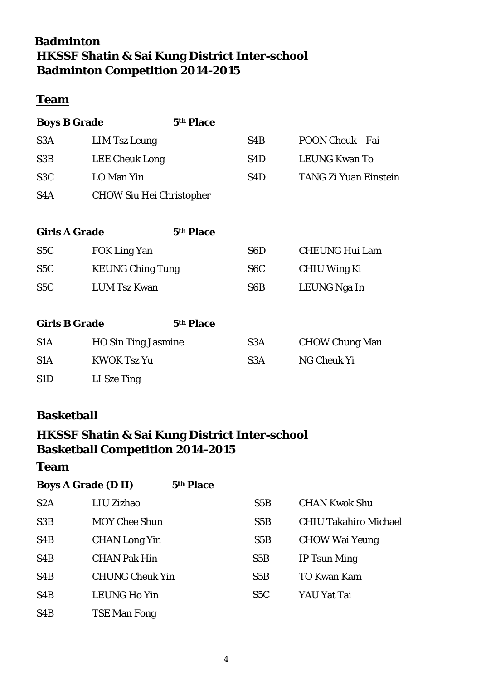## **Badminton HKSSF Shatin & Sai Kung District Inter-school Badminton Competition 2014-2015**

#### **Team**

**Boys B Grade 5th Place**

| S <sub>3</sub> A | LIM Tsz Leung                   | S4B | POON Cheuk Fai               |
|------------------|---------------------------------|-----|------------------------------|
| S <sub>3</sub> B | <b>LEE Cheuk Long</b>           | S4D | <b>LEUNG Kwan To</b>         |
| S <sub>3</sub> C | LO Man Yin                      | S4D | <b>TANG Zi Yuan Einstein</b> |
| S <sub>4</sub> A | <b>CHOW Siu Hei Christopher</b> |     |                              |

| <b>Girls A Grade</b> |                         | 5th Place |                  |                       |
|----------------------|-------------------------|-----------|------------------|-----------------------|
| S <sub>5</sub> C     | <b>FOK Ling Yan</b>     |           | S <sub>6</sub> D | <b>CHEUNG Hui Lam</b> |
| S <sub>5</sub> C     | <b>KEUNG Ching Tung</b> |           | S <sub>6</sub> C | CHIU Wing Ki          |
| S <sub>5</sub> C     | <b>LUM Tsz Kwan</b>     |           | S <sub>6</sub> B | LEUNG Nga In          |

| <b>Girls B Grade</b> |                            | 5th Place |                  |                       |
|----------------------|----------------------------|-----------|------------------|-----------------------|
| S <sub>1</sub> A     | <b>HO Sin Ting Jasmine</b> |           | S <sub>3</sub> A | <b>CHOW Chung Man</b> |
| S <sub>1</sub> A     | <b>KWOK Tsz Yu</b>         |           | S <sub>3</sub> A | NG Cheuk Yi           |
| S <sub>1</sub> D     | LI Sze Ting                |           |                  |                       |

## **Basketball**

## **HKSSF Shatin & Sai Kung District Inter-school Basketball Competition 2014-2015**

| <b>Boys A Grade (D II)</b> | 5th Place              |                  |                              |
|----------------------------|------------------------|------------------|------------------------------|
| S2A                        | LIU Zizhao             | S5B              | <b>CHAN Kwok Shu</b>         |
| S3B                        | <b>MOY Chee Shun</b>   | S5B              | <b>CHIU Takahiro Michael</b> |
| S <sub>4</sub> B           | <b>CHAN Long Yin</b>   | S5B              | <b>CHOW Wai Yeung</b>        |
| S <sub>4</sub> B           | <b>CHAN Pak Hin</b>    | S5B              | IP Tsun Ming                 |
| S <sub>4</sub> B           | <b>CHUNG Cheuk Yin</b> | S5B              | <b>TO Kwan Kam</b>           |
| S <sub>4</sub> B           | <b>LEUNG Ho Yin</b>    | S <sub>5</sub> C | YAU Yat Tai                  |
| S <sub>4</sub> B           | <b>TSE Man Fong</b>    |                  |                              |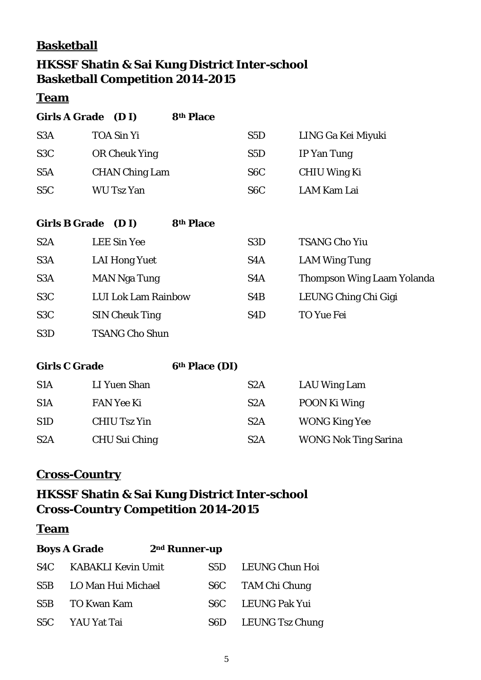## **Basketball**

## **HKSSF Shatin & Sai Kung District Inter-school Basketball Competition 2014-2015**

## **Team**

| Girls A Grade (D I) |                       | 8th Place |                  |                    |
|---------------------|-----------------------|-----------|------------------|--------------------|
| S <sub>3</sub> A    | <b>TOA Sin Yi</b>     |           | S <sub>5</sub> D | LING Ga Kei Miyuki |
| S <sub>3</sub> C    | OR Cheuk Ying         |           | S <sub>5</sub> D | IP Yan Tung        |
| S <sub>5</sub> A    | <b>CHAN Ching Lam</b> |           | S <sub>6</sub> C | CHIU Wing Ki       |
| S <sub>5</sub> C    | WU Tsz Yan            |           | S <sub>6</sub> C | LAM Kam Lai        |

| <b>Girls B Grade</b> | 8th Place<br>(D I)         |                  |                                   |
|----------------------|----------------------------|------------------|-----------------------------------|
| S <sub>2</sub> A     | <b>LEE Sin Yee</b>         | S <sub>3</sub> D | <b>TSANG Cho Yiu</b>              |
| S <sub>3</sub> A     | <b>LAI Hong Yuet</b>       | S <sub>4</sub> A | <b>LAM Wing Tung</b>              |
| S <sub>3</sub> A     | <b>MAN Nga Tung</b>        | S <sub>4</sub> A | <b>Thompson Wing Laam Yolanda</b> |
| S <sub>3</sub> C     | <b>LUI Lok Lam Rainbow</b> | S <sub>4</sub> B | LEUNG Ching Chi Gigi              |
| S <sub>3</sub> C     | <b>SIN Cheuk Ting</b>      | S <sub>4</sub> D | <b>TO Yue Fei</b>                 |
| S <sub>3</sub> D     | <b>TSANG Cho Shun</b>      |                  |                                   |

| <b>Girls C Grade</b> |                     | 6th Place (DI) |                  |  |                             |  |
|----------------------|---------------------|----------------|------------------|--|-----------------------------|--|
| S <sub>1</sub> A     | LI Yuen Shan        |                | S <sub>2</sub> A |  | LAU Wing Lam                |  |
| S <sub>1</sub> A     | <b>FAN Yee Ki</b>   |                | S <sub>2</sub> A |  | POON Ki Wing                |  |
| S <sub>1</sub> D     | <b>CHIU Tsz Yin</b> |                | S <sub>2</sub> A |  | <b>WONG King Yee</b>        |  |
| S <sub>2</sub> A     | CHU Sui Ching       |                | S2A              |  | <b>WONG Nok Ting Sarina</b> |  |

## **Cross-Country**

## **HKSSF Shatin & Sai Kung District Inter-school Cross-Country Competition 2014-2015**

|     | <b>Boys A Grade</b><br>2 <sup>nd</sup> Runner-up |     |                   |
|-----|--------------------------------------------------|-----|-------------------|
| S4C | <b>KABAKLI Kevin Umit</b>                        | S5D | LEUNG Chun Hoi    |
| S5B | LO Man Hui Michael                               |     | S6C TAM Chi Chung |
| S5B | <b>TO Kwan Kam</b>                               | S6C | LEUNG Pak Yui     |
|     | S5C YAU Yat Tai                                  | S6D | LEUNG Tsz Chung   |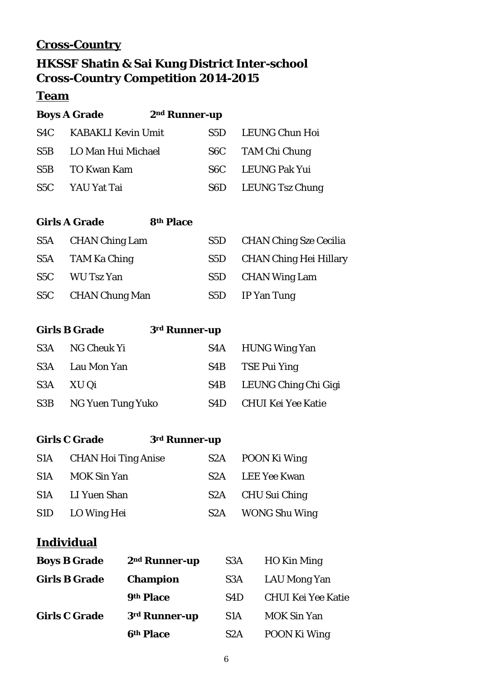## **Cross-Country**

## **HKSSF Shatin & Sai Kung District Inter-school Cross-Country Competition 2014-2015**

## **Team**

|     | <b>Boys A Grade</b>       | 2 <sup>nd</sup> Runner-up |                  |                 |
|-----|---------------------------|---------------------------|------------------|-----------------|
| S4C | <b>KABAKLI Kevin Umit</b> |                           | S5D.             | LEUNG Chun Hoi  |
| S5B | LO Man Hui Michael        |                           | S <sub>6</sub> C | TAM Chi Chung   |
| S5B | TO Kwan Kam               |                           | S6C.             | LEUNG Pak Yui   |
| S5C | YAU Yat Tai               |                           | S6D              | LEUNG Tsz Chung |
|     |                           |                           |                  |                 |

## **Girls A Grade 8th Place**

| S5A CHAN Ching Lam | S5D CHAN Ching Sze Cecilia |
|--------------------|----------------------------|
| S5A TAM Ka Ching   | S5D CHAN Ching Hei Hillary |
| S5C WU Tsz Yan     | S5D CHAN Wing Lam          |
| S5C CHAN Chung Man | S5D IP Yan Tung            |

|     | <b>Girls B Grade</b>  | 3rd Runner-up |                           |
|-----|-----------------------|---------------|---------------------------|
|     | S3A NG Cheuk Yi       |               | S4A HUNG Wing Yan         |
|     | S3A Lau Mon Yan       |               | S4B TSE Pui Ying          |
| S3A | XU Qi                 |               | S4B LEUNG Ching Chi Gigi  |
|     | S3B NG Yuen Tung Yuko | S4D           | <b>CHUI Kei Yee Katie</b> |

|                  | <b>Girls C Grade</b><br>3rd Runner-up |                  |                   |
|------------------|---------------------------------------|------------------|-------------------|
| S1A              | <b>CHAN Hoi Ting Anise</b>            | S <sub>2</sub> A | POON Ki Wing      |
| S <sub>1</sub> A | <b>MOK Sin Yan</b>                    | S <sub>2</sub> A | LEE Yee Kwan      |
| S1A              | LI Yuen Shan                          | S2A              | CHU Sui Ching     |
| S1D              | LO Wing Hei                           |                  | S2A WONG Shu Wing |

## **Individual**

| <b>Boys B Grade</b>  | 2 <sup>nd</sup> Runner-up | S <sub>3</sub> A | HO Kin Ming               |
|----------------------|---------------------------|------------------|---------------------------|
| <b>Girls B Grade</b> | <b>Champion</b>           | S <sub>3</sub> A | LAU Mong Yan              |
|                      | 9th Place                 | S <sub>4</sub> D | <b>CHUI Kei Yee Katie</b> |
| <b>Girls C Grade</b> | 3rd Runner-up             | S <sub>1</sub> A | <b>MOK Sin Yan</b>        |
|                      | 6th Place                 | S <sub>2</sub> A | POON Ki Wing              |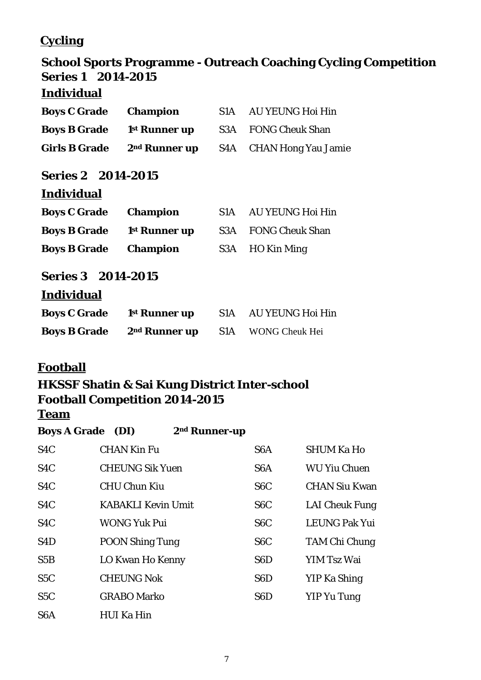## **Cycling**

# **School Sports Programme - Outreach Coaching Cycling Competition Series 1 2014-2015**

### **Individual**

| <b>Boys C Grade</b>       | <b>Champion</b>           | S <sub>1</sub> A | <b>AU YEUNG Hoi Hin</b>    |  |  |  |
|---------------------------|---------------------------|------------------|----------------------------|--|--|--|
| <b>Boys B Grade</b>       | 1 <sup>st</sup> Runner up | S3A              | <b>FONG Cheuk Shan</b>     |  |  |  |
| <b>Girls B Grade</b>      | 2 <sup>nd</sup> Runner up | S4A              | <b>CHAN Hong Yau Jamie</b> |  |  |  |
| <b>Series 2 2014-2015</b> |                           |                  |                            |  |  |  |
| <b>Individual</b>         |                           |                  |                            |  |  |  |
| <b>Boys C Grade</b>       | <b>Champion</b>           | S1A              | <b>AU YEUNG Hoi Hin</b>    |  |  |  |
| <b>Boys B Grade</b>       | 1 <sup>st</sup> Runner up | S3A              | <b>FONG Cheuk Shan</b>     |  |  |  |
| <b>Boys B Grade</b>       | <b>Champion</b>           | S3A              | HO Kin Ming                |  |  |  |
| <b>Series 3 2014-2015</b> |                           |                  |                            |  |  |  |
| <b>Individual</b>         |                           |                  |                            |  |  |  |
| <b>Boys C Grade</b>       | 1 <sup>st</sup> Runner up | S1A              | <b>AU YEUNG Hoi Hin</b>    |  |  |  |
| <b>Boys B Grade</b>       | 2 <sup>nd</sup> Runner up | S1A              | <b>WONG Cheuk Hei</b>      |  |  |  |

#### **Football**

## **HKSSF Shatin & Sai Kung District Inter-school Football Competition 2014-2015**

| <b>Boys A Grade</b> (DI) |                           | 2 <sup>nd</sup> Runner-up |                  |                       |
|--------------------------|---------------------------|---------------------------|------------------|-----------------------|
| S <sub>4</sub> C         | <b>CHAN Kin Fu</b>        |                           | S <sub>6</sub> A | <b>SHUM Ka Ho</b>     |
| S <sub>4</sub> C         | <b>CHEUNG Sik Yuen</b>    |                           | S <sub>6</sub> A | <b>WU Yiu Chuen</b>   |
| S <sub>4</sub> C         | <b>CHU Chun Kiu</b>       |                           | S <sub>6</sub> C | <b>CHAN Siu Kwan</b>  |
| S <sub>4</sub> C         | <b>KABAKLI Kevin Umit</b> |                           | S <sub>6</sub> C | <b>LAI Cheuk Fung</b> |
| S <sub>4</sub> C         | <b>WONG Yuk Pui</b>       |                           | S <sub>6</sub> C | LEUNG Pak Yui         |
| S <sub>4</sub> D         | <b>POON Shing Tung</b>    |                           | S <sub>6</sub> C | <b>TAM Chi Chung</b>  |
| S5B                      | LO Kwan Ho Kenny          |                           | S <sub>6</sub> D | YIM Tsz Wai           |
| S5C                      | <b>CHEUNG Nok</b>         |                           | S <sub>6</sub> D | YIP Ka Shing          |
| S5C                      | <b>GRABO Marko</b>        |                           | S6D              | YIP Yu Tung           |
| S <sub>6</sub> A         | <b>HUI Ka Hin</b>         |                           |                  |                       |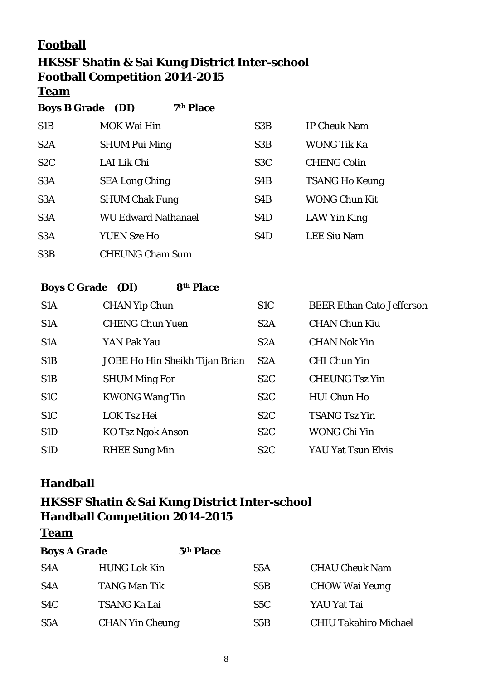## **Football**

# **HKSSF Shatin & Sai Kung District Inter-school Football Competition 2014-2015**

**Team**

**Boys B Grade (DI) 7th Place** 

| S <sub>1</sub> B | <b>MOK Wai Hin</b>         | S <sub>3</sub> B | <b>IP Cheuk Nam</b>   |
|------------------|----------------------------|------------------|-----------------------|
| S <sub>2</sub> A | <b>SHUM Pui Ming</b>       | S <sub>3</sub> B | <b>WONG Tik Ka</b>    |
| S <sub>2</sub> C | LAI Lik Chi                | S <sub>3</sub> C | <b>CHENG Colin</b>    |
| S <sub>3</sub> A | <b>SEA Long Ching</b>      | S <sub>4</sub> B | <b>TSANG Ho Keung</b> |
| S <sub>3</sub> A | <b>SHUM Chak Fung</b>      | S <sub>4</sub> B | <b>WONG Chun Kit</b>  |
| S <sub>3</sub> A | <b>WU Edward Nathanael</b> | S <sub>4</sub> D | LAW Yin King          |
| S <sub>3</sub> A | <b>YUEN Sze Ho</b>         | S <sub>4</sub> D | <b>LEE Siu Nam</b>    |
| S3B              | <b>CHEUNG Cham Sum</b>     |                  |                       |

#### **Boys C Grade (DI) 8th Place**

| S <sub>1</sub> A | <b>CHAN Yip Chun</b>           | S <sub>1</sub> C | <b>BEER Ethan Cato Jefferson</b> |
|------------------|--------------------------------|------------------|----------------------------------|
| S <sub>1</sub> A | <b>CHENG Chun Yuen</b>         | S <sub>2</sub> A | <b>CHAN Chun Kiu</b>             |
| S <sub>1</sub> A | YAN Pak Yau                    | S <sub>2</sub> A | <b>CHAN Nok Yin</b>              |
| S <sub>1</sub> B | JOBE Ho Hin Sheikh Tijan Brian | S <sub>2</sub> A | <b>CHI Chun Yin</b>              |
| S <sub>1</sub> B | <b>SHUM Ming For</b>           | S <sub>2</sub> C | <b>CHEUNG Tsz Yin</b>            |
| S <sub>1</sub> C | <b>KWONG Wang Tin</b>          | S <sub>2</sub> C | <b>HUI Chun Ho</b>               |
| S <sub>1</sub> C | <b>LOK Tsz Hei</b>             | S <sub>2</sub> C | <b>TSANG Tsz Yin</b>             |
| S <sub>1</sub> D | <b>KO Tsz Ngok Anson</b>       | S <sub>2</sub> C | <b>WONG Chi Yin</b>              |
| S <sub>1</sub> D | <b>RHEE Sung Min</b>           | S <sub>2</sub> C | <b>YAU Yat Tsun Elvis</b>        |

#### **Handball**

## **HKSSF Shatin & Sai Kung District Inter-school Handball Competition 2014-2015**

| <b>Boys A Grade</b> |                        | 5th Place        |                              |
|---------------------|------------------------|------------------|------------------------------|
| S <sub>4</sub> A    | <b>HUNG Lok Kin</b>    | S <sub>5</sub> A | <b>CHAU Cheuk Nam</b>        |
| S <sub>4</sub> A    | <b>TANG Man Tik</b>    | S5B              | <b>CHOW Wai Yeung</b>        |
| S <sub>4</sub> C    | <b>TSANG Ka Lai</b>    | S5C              | YAU Yat Tai                  |
| S <sub>5</sub> A    | <b>CHAN Yin Cheung</b> | S5B              | <b>CHIU Takahiro Michael</b> |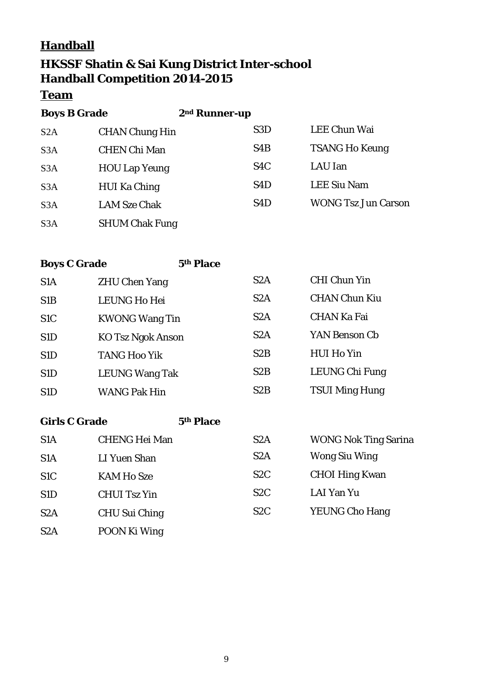## **Handball**

## **HKSSF Shatin & Sai Kung District Inter-school Handball Competition 2014-2015**

#### **Team**

| <b>Boys B Grade</b> |                       | 2 <sup>nd</sup> Runner-up |         |                            |
|---------------------|-----------------------|---------------------------|---------|----------------------------|
| S <sub>2</sub> A    | <b>CHAN Chung Hin</b> | S <sub>3</sub> D          |         | <b>LEE Chun Wai</b>        |
| S <sub>3</sub> A    | <b>CHEN Chi Man</b>   | S <sub>4</sub> B          |         | <b>TSANG Ho Keung</b>      |
| S <sub>3</sub> A    | <b>HOU Lap Yeung</b>  | S <sub>4</sub> C          | LAU Ian |                            |
| S <sub>3</sub> A    | <b>HUI Ka Ching</b>   | S <sub>4</sub> D          |         | <b>LEE Siu Nam</b>         |
| S <sub>3</sub> A    | <b>LAM Sze Chak</b>   | S <sub>4</sub> D          |         | <b>WONG Tsz Jun Carson</b> |
| S <sub>3</sub> A    | <b>SHUM Chak Fung</b> |                           |         |                            |

**Boys C Grade 5th Place**

| S <sub>1</sub> A | <b>ZHU Chen Yang</b>     | S <sub>2</sub> A | <b>CHI Chun Yin</b>   |
|------------------|--------------------------|------------------|-----------------------|
| S <sub>1</sub> B | <b>LEUNG Ho Hei</b>      | S <sub>2</sub> A | <b>CHAN Chun Kiu</b>  |
| S <sub>1</sub> C | <b>KWONG Wang Tin</b>    | S2A              | <b>CHAN Ka Fai</b>    |
| S <sub>1</sub> D | <b>KO Tsz Ngok Anson</b> | S2A              | YAN Benson Cb         |
| S <sub>1</sub> D | <b>TANG Hoo Yik</b>      | S2B              | <b>HUI Ho Yin</b>     |
| S <sub>1</sub> D | <b>LEUNG Wang Tak</b>    | S <sub>2</sub> B | LEUNG Chi Fung        |
| S <sub>1</sub> D | <b>WANG Pak Hin</b>      | S2B              | <b>TSUI Ming Hung</b> |

#### **Girls C Grade 5th Place**

| S <sub>1</sub> A | <b>CHENG Hei Man</b> | S <sub>2</sub> A | <b>WONG Nok Ting Sarina</b> |
|------------------|----------------------|------------------|-----------------------------|
| S <sub>1</sub> A | LI Yuen Shan         | S <sub>2</sub> A | <b>Wong Siu Wing</b>        |
| S <sub>1</sub> C | <b>KAM Ho Sze</b>    | S <sub>2</sub> C | <b>CHOI Hing Kwan</b>       |
| S <sub>1</sub> D | <b>CHUI Tsz Yin</b>  | S <sub>2</sub> C | LAI Yan Yu                  |
| S <sub>2</sub> A | <b>CHU Sui Ching</b> | S <sub>2</sub> C | <b>YEUNG Cho Hang</b>       |
| S <sub>2</sub> A | POON Ki Wing         |                  |                             |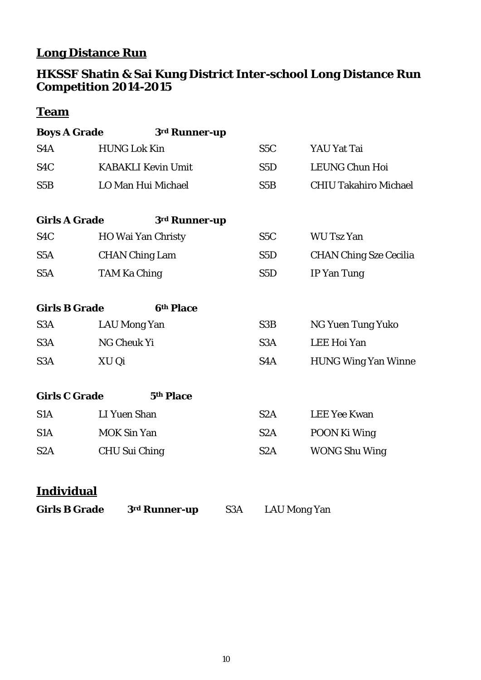# **Long Distance Run**

#### **HKSSF Shatin & Sai Kung District Inter-school Long Distance Run Competition 2014-2015**

## **Team**

| <b>Boys A Grade</b>  |                           | 3rd Runner-up |                  |                               |
|----------------------|---------------------------|---------------|------------------|-------------------------------|
| S <sub>4</sub> A     | <b>HUNG Lok Kin</b>       |               | S <sub>5</sub> C | YAU Yat Tai                   |
| S <sub>4</sub> C     | <b>KABAKLI Kevin Umit</b> |               | S <sub>5</sub> D | <b>LEUNG Chun Hoi</b>         |
| S5B                  | LO Man Hui Michael        |               | S5B              | <b>CHIU Takahiro Michael</b>  |
| <b>Girls A Grade</b> |                           | 3rd Runner-up |                  |                               |
| S <sub>4</sub> C     | HO Wai Yan Christy        |               | S <sub>5</sub> C | <b>WU Tsz Yan</b>             |
| S <sub>5</sub> A     | <b>CHAN Ching Lam</b>     |               | S <sub>5</sub> D | <b>CHAN Ching Sze Cecilia</b> |
| S <sub>5</sub> A     | <b>TAM Ka Ching</b>       |               | S <sub>5</sub> D | <b>IP Yan Tung</b>            |
| <b>Girls B Grade</b> |                           | 6th Place     |                  |                               |
| S <sub>3</sub> A     | <b>LAU Mong Yan</b>       |               | S <sub>3</sub> B | <b>NG Yuen Tung Yuko</b>      |
| S <sub>3</sub> A     | NG Cheuk Yi               |               | S <sub>3</sub> A | <b>LEE Hoi Yan</b>            |
| S <sub>3</sub> A     | XU Qi                     |               | S <sub>4</sub> A | <b>HUNG Wing Yan Winne</b>    |
| <b>Girls C Grade</b> |                           | 5th Place     |                  |                               |
| S <sub>1</sub> A     | <b>LI Yuen Shan</b>       |               | S2A              | <b>LEE Yee Kwan</b>           |
| S <sub>1</sub> A     | <b>MOK Sin Yan</b>        |               | S <sub>2</sub> A | POON Ki Wing                  |
| S2A                  | <b>CHU Sui Ching</b>      |               | S <sub>2</sub> A | <b>WONG Shu Wing</b>          |
| T 10 0 1 1 1         |                           |               |                  |                               |

### **Individual**

| <b>Girls B Grade</b> | 3 <sup>rd</sup> Runner-up | S <sub>3</sub> A | <b>LAU Mong Yan</b> |
|----------------------|---------------------------|------------------|---------------------|
|----------------------|---------------------------|------------------|---------------------|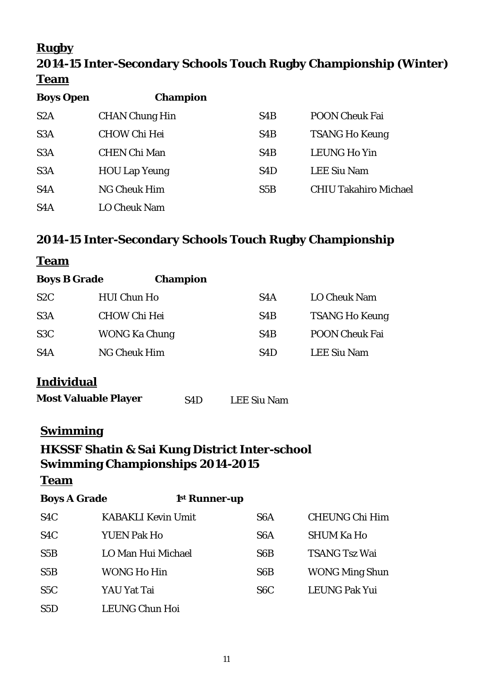## **Rugby**

# **2014-15 Inter-Secondary Schools Touch Rugby Championship (Winter) Team**

| <b>Boys Open</b> | <b>Champion</b>       |                  |                              |
|------------------|-----------------------|------------------|------------------------------|
| S <sub>2</sub> A | <b>CHAN Chung Hin</b> | S <sub>4</sub> B | <b>POON Cheuk Fai</b>        |
| S <sub>3</sub> A | <b>CHOW Chi Hei</b>   | S4B              | <b>TSANG Ho Keung</b>        |
| S <sub>3</sub> A | <b>CHEN Chi Man</b>   | S <sub>4</sub> B | <b>LEUNG Ho Yin</b>          |
| S <sub>3</sub> A | <b>HOU Lap Yeung</b>  | S <sub>4</sub> D | <b>LEE Siu Nam</b>           |
| S <sub>4</sub> A | <b>NG Cheuk Him</b>   | S5B              | <b>CHIU Takahiro Michael</b> |
| S <sub>4</sub> A | <b>LO Cheuk Nam</b>   |                  |                              |

## **2014-15 Inter-Secondary Schools Touch Rugby Championship**

#### **Team**

| <b>Boys B Grade</b> | <b>Champion</b>      |                  |                       |
|---------------------|----------------------|------------------|-----------------------|
| S <sub>2</sub> C    | <b>HUI Chun Ho</b>   | S4A              | <b>LO Cheuk Nam</b>   |
| S <sub>3</sub> A    | <b>CHOW Chi Hei</b>  | S <sub>4</sub> B | <b>TSANG Ho Keung</b> |
| S <sub>3</sub> C    | <b>WONG Ka Chung</b> | S <sub>4</sub> B | <b>POON Cheuk Fai</b> |
| S <sub>4</sub> A    | NG Cheuk Him         | S4D              | <b>LEE Siu Nam</b>    |

## **Individual**

| <b>Most Valuable Player</b> | S <sub>4</sub> D | <b>LEE Siu Nam</b> |
|-----------------------------|------------------|--------------------|
|-----------------------------|------------------|--------------------|

### **Swimming**

## **HKSSF Shatin & Sai Kung District Inter-school Swimming Championships 2014-2015**

| <b>Boys A Grade</b> | 1 <sup>st</sup> Runner-up |                  |                       |
|---------------------|---------------------------|------------------|-----------------------|
| S <sub>4</sub> C    | <b>KABAKLI Kevin Umit</b> | S <sub>6</sub> A | <b>CHEUNG Chi Him</b> |
| S <sub>4</sub> C    | <b>YUEN Pak Ho</b>        | S <sub>6</sub> A | <b>SHUM Ka Ho</b>     |
| S5B                 | LO Man Hui Michael        | S <sub>6</sub> B | <b>TSANG Tsz Wai</b>  |
| S5B                 | WONG Ho Hin               | S <sub>6</sub> B | <b>WONG Ming Shun</b> |
| S <sub>5</sub> C    | YAU Yat Tai               | S <sub>6</sub> C | <b>LEUNG Pak Yui</b>  |
| S5D                 | <b>LEUNG Chun Hoi</b>     |                  |                       |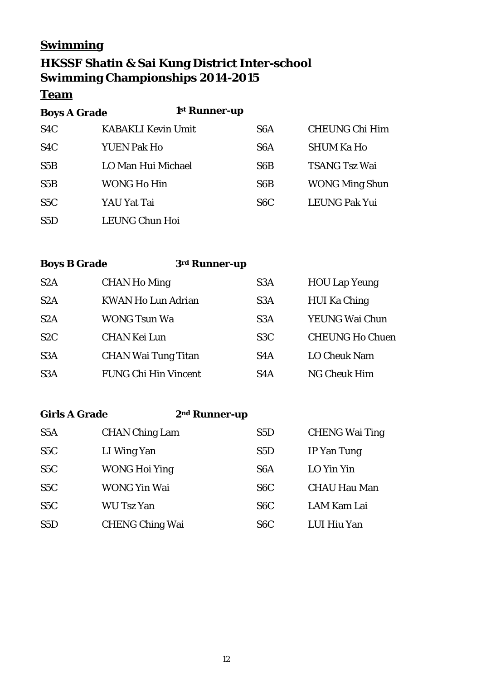## **Swimming**

## **HKSSF Shatin & Sai Kung District Inter-school Swimming Championships 2014-2015**

### **Team**

| <b>Boys A Grade</b> | 1 <sup>st</sup> Runner-up |                  |                       |
|---------------------|---------------------------|------------------|-----------------------|
| S <sub>4</sub> C    | <b>KABAKLI Kevin Umit</b> | S <sub>6</sub> A | <b>CHEUNG Chi Him</b> |
| S <sub>4</sub> C    | <b>YUEN Pak Ho</b>        | S <sub>6</sub> A | <b>SHUM Ka Ho</b>     |
| S5B                 | LO Man Hui Michael        | S <sub>6</sub> B | <b>TSANG Tsz Wai</b>  |
| S5B                 | WONG Ho Hin               | S <sub>6</sub> B | <b>WONG Ming Shun</b> |
| S5C                 | YAU Yat Tai               | S <sub>6</sub> C | <b>LEUNG Pak Yui</b>  |
| S5D                 | LEUNG Chun Hoi            |                  |                       |

**Boys B Grade 3rd Runner-up**

| S <sub>2</sub> A | <b>CHAN Ho Ming</b>         | S <sub>3</sub> A | <b>HOU Lap Yeung</b>   |
|------------------|-----------------------------|------------------|------------------------|
| S2A              | <b>KWAN Ho Lun Adrian</b>   | S <sub>3</sub> A | <b>HUI Ka Ching</b>    |
| S <sub>2</sub> A | <b>WONG Tsun Wa</b>         | S <sub>3</sub> A | YEUNG Wai Chun         |
| S2C              | <b>CHAN Kei Lun</b>         | S <sub>3</sub> C | <b>CHEUNG Ho Chuen</b> |
| S <sub>3</sub> A | <b>CHAN Wai Tung Titan</b>  | S <sub>4</sub> A | <b>LO Cheuk Nam</b>    |
| S <sub>3</sub> A | <b>FUNG Chi Hin Vincent</b> | S4A              | <b>NG Cheuk Him</b>    |

**Girls A Grade 2nd Runner-up**

| S <sub>5</sub> A | <b>CHAN Ching Lam</b>  | S <sub>5</sub> D | <b>CHENG Wai Ting</b> |
|------------------|------------------------|------------------|-----------------------|
| S <sub>5</sub> C | LI Wing Yan            | S <sub>5</sub> D | IP Yan Tung           |
| S <sub>5</sub> C | <b>WONG Hoi Ying</b>   | S <sub>6</sub> A | LO Yin Yin            |
| S <sub>5</sub> C | WONG Yin Wai           | S <sub>6</sub> C | <b>CHAU Hau Man</b>   |
| S <sub>5</sub> C | <b>WU Tsz Yan</b>      | S <sub>6</sub> C | LAM Kam Lai           |
| S5D              | <b>CHENG Ching Wai</b> | S <sub>6</sub> C | LUI Hiu Yan           |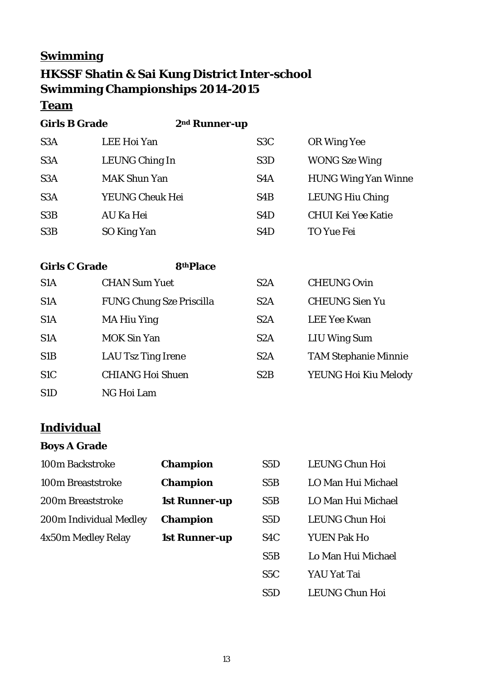## **Swimming**

## **HKSSF Shatin & Sai Kung District Inter-school Swimming Championships 2014-2015**

### **Team**

**Girls B Grade 2nd Runner-up**

| S <sub>3</sub> A | LEE Hoi Yan         | S <sub>3</sub> C | OR Wing Yee                |
|------------------|---------------------|------------------|----------------------------|
| S <sub>3</sub> A | LEUNG Ching In      | S <sub>3</sub> D | <b>WONG</b> Sze Wing       |
| S <sub>3</sub> A | <b>MAK Shun Yan</b> | S <sub>4</sub> A | <b>HUNG Wing Yan Winne</b> |
| S <sub>3</sub> A | YEUNG Cheuk Hei     | S <sub>4</sub> B | <b>LEUNG Hiu Ching</b>     |
| S <sub>3</sub> B | AU Ka Hei           | S <sub>4</sub> D | <b>CHUI Kei Yee Katie</b>  |
| S <sub>3</sub> B | SO King Yan         | S <sub>4</sub> D | TO Yue Fei                 |

**Girls C Grade 8thPlace**

| S <sub>1</sub> A | <b>CHAN Sum Yuet</b>            | S <sub>2</sub> A | <b>CHEUNG Ovin</b>          |
|------------------|---------------------------------|------------------|-----------------------------|
| S <sub>1</sub> A | <b>FUNG Chung Sze Priscilla</b> | S2A              | <b>CHEUNG Sien Yu</b>       |
| S <sub>1</sub> A | <b>MA Hiu Ying</b>              | S2A              | <b>LEE Yee Kwan</b>         |
| S <sub>1</sub> A | <b>MOK Sin Yan</b>              | S <sub>2</sub> A | <b>LIU Wing Sum</b>         |
| S <sub>1</sub> B | <b>LAU Tsz Ting Irene</b>       | S <sub>2</sub> A | <b>TAM Stephanie Minnie</b> |
| S <sub>1</sub> C | <b>CHIANG Hoi Shuen</b>         | S <sub>2</sub> B | YEUNG Hoi Kiu Melody        |
| S <sub>1</sub> D | NG Hoi Lam                      |                  |                             |

### **Individual**

#### **Boys A Grade**

| 100m Backstroke        | <b>Champion</b>      | S <sub>5</sub> D | <b>LEUNG Chun Hoi</b> |
|------------------------|----------------------|------------------|-----------------------|
| 100m Breaststroke      | <b>Champion</b>      | S5B              | LO Man Hui Michael    |
| 200m Breaststroke      | <b>1st Runner-up</b> | S5B              | LO Man Hui Michael    |
| 200m Individual Medley | <b>Champion</b>      | S5D              | <b>LEUNG Chun Hoi</b> |
| 4x50m Medley Relay     | <b>1st Runner-up</b> | S <sub>4</sub> C | <b>YUEN Pak Ho</b>    |
|                        |                      | S5B              | Lo Man Hui Michael    |

- S5C YAU Yat Tai
- S5D LEUNG Chun Hoi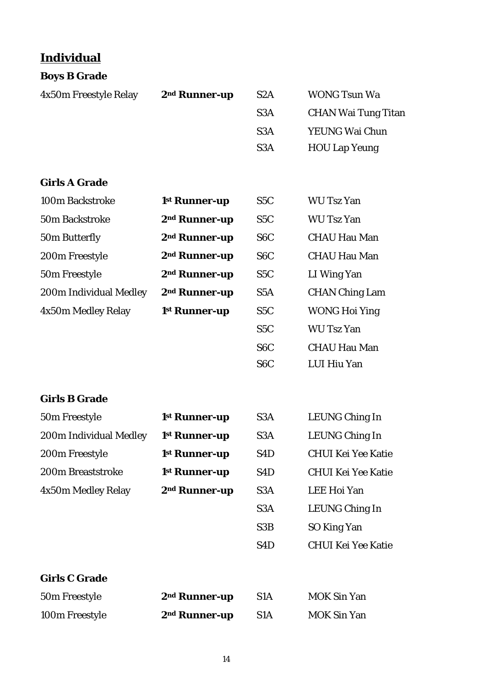## **Individual**

| <b>Boys B Grade</b>    |                           |                  |                            |
|------------------------|---------------------------|------------------|----------------------------|
| 4x50m Freestyle Relay  | 2 <sup>nd</sup> Runner-up | S <sub>2</sub> A | <b>WONG Tsun Wa</b>        |
|                        |                           | S <sub>3</sub> A | <b>CHAN Wai Tung Titan</b> |
|                        |                           | S <sub>3</sub> A | YEUNG Wai Chun             |
|                        |                           | S <sub>3</sub> A | <b>HOU Lap Yeung</b>       |
| <b>Girls A Grade</b>   |                           |                  |                            |
| 100m Backstroke        | 1 <sup>st</sup> Runner-up | S <sub>5</sub> C | <b>WU Tsz Yan</b>          |
| 50m Backstroke         | 2 <sup>nd</sup> Runner-up | S <sub>5</sub> C | <b>WU Tsz Yan</b>          |
| 50m Butterfly          | 2 <sup>nd</sup> Runner-up | S <sub>6</sub> C | <b>CHAU Hau Man</b>        |
| 200m Freestyle         | 2 <sup>nd</sup> Runner-up | S <sub>6</sub> C | <b>CHAU Hau Man</b>        |
| 50m Freestyle          | 2 <sup>nd</sup> Runner-up | S <sub>5</sub> C | LI Wing Yan                |
| 200m Individual Medley | 2 <sup>nd</sup> Runner-up | S <sub>5</sub> A | <b>CHAN Ching Lam</b>      |
| 4x50m Medley Relay     | 1 <sup>st</sup> Runner-up | S <sub>5</sub> C | <b>WONG Hoi Ying</b>       |
|                        |                           | S <sub>5</sub> C | <b>WU Tsz Yan</b>          |
|                        |                           | S <sub>6</sub> C | <b>CHAU Hau Man</b>        |
|                        |                           | S <sub>6</sub> C | LUI Hiu Yan                |
| <b>Girls B Grade</b>   |                           |                  |                            |
| 50m Freestyle          | 1st Runner-up             | S3A              | LEUNG Ching In             |
| 200m Individual Medley | 1 <sup>st</sup> Runner-up | S3A              | LEUNG Ching In             |
| 200m Freestyle         | 1st Runner-up             | S <sub>4</sub> D | <b>CHUI Kei Yee Katie</b>  |
| 200m Breaststroke      | 1 <sup>st</sup> Runner-up | S <sub>4</sub> D | <b>CHUI Kei Yee Katie</b>  |
| 4x50m Medley Relay     | 2 <sup>nd</sup> Runner-up | S <sub>3</sub> A | LEE Hoi Yan                |
|                        |                           | S <sub>3</sub> A | LEUNG Ching In             |
|                        |                           | S3B              | SO King Yan                |
|                        |                           | S <sub>4</sub> D | <b>CHUI Kei Yee Katie</b>  |
| <b>Girls C Grade</b>   |                           |                  |                            |
| 50m Freestyle          | 2 <sup>nd</sup> Runner-up | S1A              | <b>MOK Sin Yan</b>         |
| 100m Freestyle         | 2 <sup>nd</sup> Runner-up | S1A              | <b>MOK Sin Yan</b>         |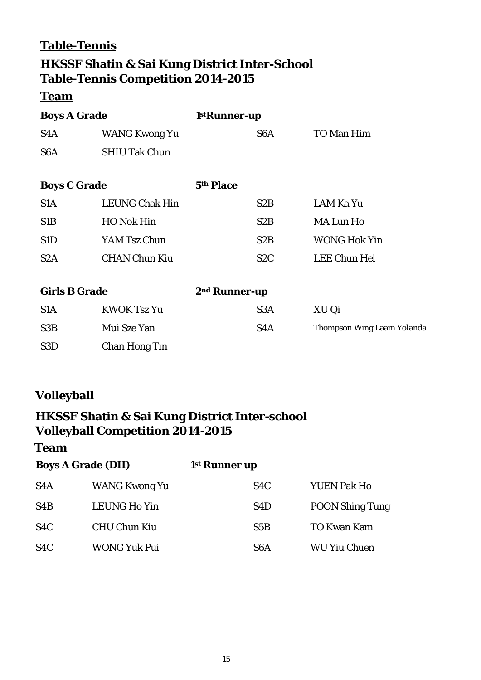### **Table-Tennis**

## **HKSSF Shatin & Sai Kung District Inter-School Table-Tennis Competition 2014-2015**

#### **Team**

| <b>Boys A Grade</b>  |                       | 1stRunner-up              |                                   |
|----------------------|-----------------------|---------------------------|-----------------------------------|
| S4A                  | WANG Kwong Yu         | S6A                       | TO Man Him                        |
| S <sub>6</sub> A     | <b>SHIU Tak Chun</b>  |                           |                                   |
| <b>Boys C Grade</b>  |                       | 5th Place                 |                                   |
| S <sub>1</sub> A     | <b>LEUNG Chak Hin</b> | S <sub>2</sub> B          | <b>LAM Ka Yu</b>                  |
| S <sub>1</sub> B     | <b>HO</b> Nok Hin     | S <sub>2</sub> B          | <b>MA Lun Ho</b>                  |
| S <sub>1</sub> D     | YAM Tsz Chun          | S <sub>2</sub> B          | <b>WONG Hok Yin</b>               |
| S <sub>2</sub> A     | <b>CHAN Chun Kiu</b>  | S <sub>2</sub> C          | <b>LEE Chun Hei</b>               |
| <b>Girls B Grade</b> |                       | 2 <sup>nd</sup> Runner-up |                                   |
| S <sub>1</sub> A     | <b>KWOK Tsz Yu</b>    | S <sub>3</sub> A          | XU Qi                             |
| S <sub>3</sub> B     | Mui Sze Yan           | S4A                       | <b>Thompson Wing Laam Yolanda</b> |
| S <sub>3</sub> D     | <b>Chan Hong Tin</b>  |                           |                                   |

## **Volleyball**

## **HKSSF Shatin & Sai Kung District Inter-school Volleyball Competition 2014-2015**

| <b>Boys A Grade (DII)</b> |                     | 1 <sup>st</sup> Runner up |                        |
|---------------------------|---------------------|---------------------------|------------------------|
| S <sub>4</sub> A          | WANG Kwong Yu       | S <sub>4</sub> C          | <b>YUEN Pak Ho</b>     |
| S4B                       | LEUNG Ho Yin        | S <sub>4</sub> D          | <b>POON Shing Tung</b> |
| S <sub>4</sub> C          | <b>CHU Chun Kiu</b> | S5B                       | <b>TO Kwan Kam</b>     |
| S <sub>4</sub> C          | <b>WONG Yuk Pui</b> | S6A                       | <b>WU Yiu Chuen</b>    |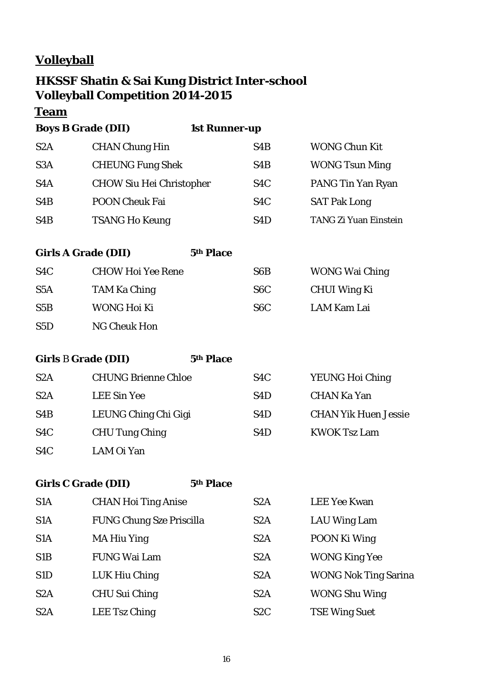## **Volleyball**

## **HKSSF Shatin & Sai Kung District Inter-school Volleyball Competition 2014-2015**

**Team**

**Boys B Grade (DII) 1st Runner-up**

| S <sub>2</sub> A | <b>CHAN Chung Hin</b>           | S <sub>4</sub> B | <b>WONG Chun Kit</b>  |
|------------------|---------------------------------|------------------|-----------------------|
| S <sub>3</sub> A | <b>CHEUNG Fung Shek</b>         | S <sub>4</sub> B | <b>WONG Tsun Ming</b> |
| S <sub>4</sub> A | <b>CHOW Siu Hei Christopher</b> | S <sub>4</sub> C | PANG Tin Yan Ryan     |
| S4B              | <b>POON Cheuk Fai</b>           | S <sub>4</sub> C | <b>SAT Pak Long</b>   |
| S <sub>4</sub> B | <b>TSANG Ho Keung</b>           | S4D              | TANG Zi Yuan Einstein |

#### **Girls A Grade (DII) 5th Place**

| S <sub>4</sub> C | <b>CHOW Hoi Yee Rene</b> | S <sub>6</sub> B | <b>WONG Wai Ching</b> |
|------------------|--------------------------|------------------|-----------------------|
| S <sub>5</sub> A | TAM Ka Ching             | S <sub>6</sub> C | CHUI Wing Ki          |
| S5B              | WONG Hoi Ki              | S6C              | LAM Kam Lai           |
| S5D              | NG Cheuk Hon             |                  |                       |

**Girls** B **Grade (DII) 5th Place**

| S <sub>2</sub> A | <b>CHUNG Brienne Chloe</b> | S <sub>4</sub> C | <b>YEUNG Hoi Ching</b>      |
|------------------|----------------------------|------------------|-----------------------------|
| S <sub>2</sub> A | <b>LEE Sin Yee</b>         | S4D              | <b>CHAN Ka Yan</b>          |
| S <sub>4</sub> B | LEUNG Ching Chi Gigi       | S <sub>4</sub> D | <b>CHAN Yik Huen Jessie</b> |
| S <sub>4</sub> C | <b>CHU Tung Ching</b>      | S <sub>4</sub> D | <b>KWOK Tsz Lam</b>         |
| S <sub>4</sub> C | LAM Oi Yan                 |                  |                             |

**Girls C Grade (DII) 5th Place**

| S <sub>1</sub> A | <b>CHAN Hoi Ting Anise</b>      | S <sub>2</sub> A | <b>LEE Yee Kwan</b>         |
|------------------|---------------------------------|------------------|-----------------------------|
| S <sub>1</sub> A | <b>FUNG Chung Sze Priscilla</b> | S <sub>2</sub> A | <b>LAU Wing Lam</b>         |
| S <sub>1</sub> A | <b>MA Hiu Ying</b>              | S <sub>2</sub> A | POON Ki Wing                |
| S <sub>1</sub> B | <b>FUNG Wai Lam</b>             | S <sub>2</sub> A | <b>WONG King Yee</b>        |
| S <sub>1</sub> D | LUK Hiu Ching                   | S <sub>2</sub> A | <b>WONG Nok Ting Sarina</b> |
| S <sub>2</sub> A | <b>CHU Sui Ching</b>            | S <sub>2</sub> A | <b>WONG Shu Wing</b>        |
| S <sub>2</sub> A | LEE Tsz Ching                   | S <sub>2</sub> C | <b>TSE Wing Suet</b>        |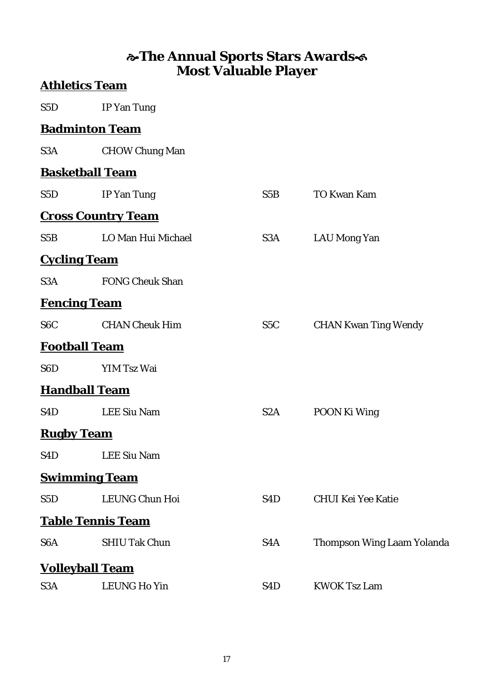## **The Annual Sports Stars Awards Most Valuable Player**

|                   | <b>Athletics Team</b>     |                  |                                   |
|-------------------|---------------------------|------------------|-----------------------------------|
| S <sub>5</sub> D  | <b>IP</b> Yan Tung        |                  |                                   |
|                   | <b>Badminton Team</b>     |                  |                                   |
| S3A               | <b>CHOW Chung Man</b>     |                  |                                   |
|                   | <b>Basketball Team</b>    |                  |                                   |
| S <sub>5</sub> D  | <b>IP</b> Yan Tung        | S5B              | <b>TO Kwan Kam</b>                |
|                   | <b>Cross Country Team</b> |                  |                                   |
| S5B               | LO Man Hui Michael        | S3A              | <b>LAU Mong Yan</b>               |
|                   | <b>Cycling Team</b>       |                  |                                   |
| S3A               | <b>FONG Cheuk Shan</b>    |                  |                                   |
|                   | <b>Fencing Team</b>       |                  |                                   |
| S <sub>6</sub> C  | <b>CHAN Cheuk Him</b>     | S <sub>5</sub> C | <b>CHAN Kwan Ting Wendy</b>       |
|                   | <b>Football Team</b>      |                  |                                   |
| S <sub>6</sub> D  | YIM Tsz Wai               |                  |                                   |
|                   | <b>Handball Team</b>      |                  |                                   |
| S <sub>4</sub> D  | <b>LEE Siu Nam</b>        | S <sub>2</sub> A | POON Ki Wing                      |
| <b>Rugby Team</b> |                           |                  |                                   |
| S <sub>4</sub> D  | <b>LEE Siu Nam</b>        |                  |                                   |
|                   | <b>Swimming Team</b>      |                  |                                   |
| S <sub>5</sub> D  | <b>LEUNG Chun Hoi</b>     | S <sub>4</sub> D | <b>CHUI Kei Yee Katie</b>         |
|                   | <b>Table Tennis Team</b>  |                  |                                   |
| S <sub>6</sub> A  | <b>SHIU Tak Chun</b>      | S4A              | <b>Thompson Wing Laam Yolanda</b> |
|                   | <u>Volleyball Team</u>    |                  |                                   |
| S3A               | <b>LEUNG Ho Yin</b>       | S <sub>4</sub> D | <b>KWOK Tsz Lam</b>               |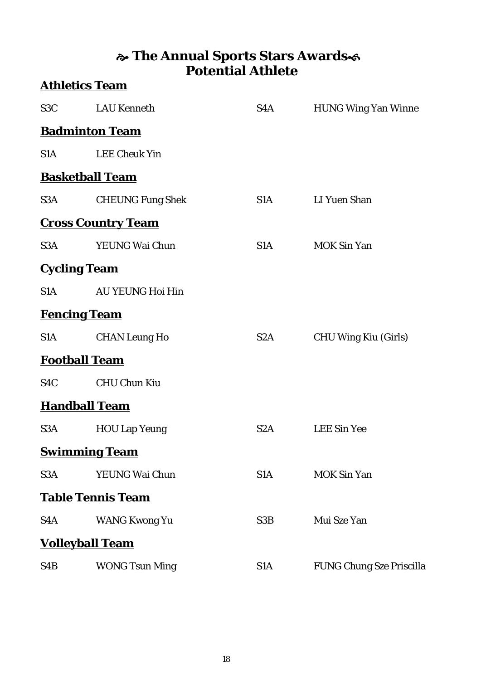## **The Annual Sports Stars Awards Potential Athlete Athletics Team**

| S3C and the same state of the state of the state of the state of the state of the state of the state of the state of the state of the state of the state of the state of the state of the state of the state of the state of t | <b>LAU Kenneth</b>        | S4A              | <b>HUNG Wing Yan Winne</b>      |
|--------------------------------------------------------------------------------------------------------------------------------------------------------------------------------------------------------------------------------|---------------------------|------------------|---------------------------------|
|                                                                                                                                                                                                                                | <b>Badminton Team</b>     |                  |                                 |
| S <sub>1</sub> A                                                                                                                                                                                                               | <b>LEE Cheuk Yin</b>      |                  |                                 |
|                                                                                                                                                                                                                                | <b>Basketball Team</b>    |                  |                                 |
| S3A                                                                                                                                                                                                                            | <b>CHEUNG Fung Shek</b>   | S1A              | <b>LI</b> Yuen Shan             |
|                                                                                                                                                                                                                                | <b>Cross Country Team</b> |                  |                                 |
| S <sub>3</sub> A                                                                                                                                                                                                               | YEUNG Wai Chun            | S <sub>1</sub> A | <b>MOK Sin Yan</b>              |
|                                                                                                                                                                                                                                | <b>Cycling Team</b>       |                  |                                 |
| S <sub>1</sub> A                                                                                                                                                                                                               | <b>AU YEUNG Hoi Hin</b>   |                  |                                 |
|                                                                                                                                                                                                                                | <b>Fencing Team</b>       |                  |                                 |
| S <sub>1</sub> A                                                                                                                                                                                                               | <b>CHAN Leung Ho</b>      | S <sub>2</sub> A | <b>CHU Wing Kiu (Girls)</b>     |
|                                                                                                                                                                                                                                | <b>Football Team</b>      |                  |                                 |
| S <sub>4</sub> C                                                                                                                                                                                                               | <b>CHU Chun Kiu</b>       |                  |                                 |
|                                                                                                                                                                                                                                | <b>Handball Team</b>      |                  |                                 |
| S3A                                                                                                                                                                                                                            | <b>HOU Lap Yeung</b>      | S2A              | <b>LEE Sin Yee</b>              |
|                                                                                                                                                                                                                                | <b>Swimming Team</b>      |                  |                                 |
| S <sub>3</sub> A                                                                                                                                                                                                               | YEUNG Wai Chun            | S <sub>1</sub> A | <b>MOK Sin Yan</b>              |
|                                                                                                                                                                                                                                | <u>Table Tennis Team</u>  |                  |                                 |
| S4A                                                                                                                                                                                                                            | <b>WANG Kwong Yu</b>      | S3B              | Mui Sze Yan                     |
|                                                                                                                                                                                                                                | <b>Volleyball Team</b>    |                  |                                 |
| S4B                                                                                                                                                                                                                            | <b>WONG Tsun Ming</b>     | S <sub>1</sub> A | <b>FUNG Chung Sze Priscilla</b> |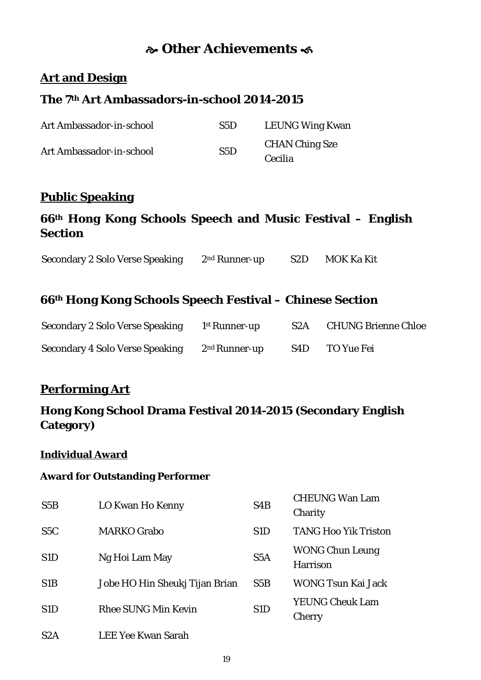## **Other Achievements**

#### **Art and Design**

### **The 7th Art Ambassadors-in-school 2014-2015**

| Art Ambassador-in-school | S5D | <b>LEUNG Wing Kwan</b> |
|--------------------------|-----|------------------------|
| Art Ambassador-in-school | S5D | <b>CHAN Ching Sze</b>  |
|                          |     | Cecilia                |

#### **Public Speaking**

### **66th Hong Kong Schools Speech and Music Festival – English Section**

Secondary 2 Solo Verse Speaking 2nd Runner-up S2D MOK Ka Kit

#### **66th Hong Kong Schools Speech Festival – Chinese Section**

| <b>Secondary 2 Solo Verse Speaking</b> | <sup>1st</sup> Runner-up  | S <sub>2</sub> A | <b>CHUNG Brienne Chloe</b> |
|----------------------------------------|---------------------------|------------------|----------------------------|
| <b>Secondary 4 Solo Verse Speaking</b> | 2 <sup>nd</sup> Runner-up | S4D.             | TO Yue Fei                 |

### **Performing Art**

### **Hong Kong School Drama Festival 2014-2015 (Secondary English Category)**

#### **Individual Award**

#### **Award for Outstanding Performer**

| S5B              | LO Kwan Ho Kenny               | S <sub>4</sub> B | <b>CHEUNG Wan Lam</b><br>Charity          |
|------------------|--------------------------------|------------------|-------------------------------------------|
| S <sub>5</sub> C | <b>MARKO Grabo</b>             | S <sub>1</sub> D | <b>TANG Hoo Yik Triston</b>               |
| S <sub>1</sub> D | Ng Hoi Lam May                 | S <sub>5</sub> A | <b>WONG Chun Leung</b><br><b>Harrison</b> |
| S <sub>1</sub> B | Jobe HO Hin Sheukj Tijan Brian | S5B              | <b>WONG Tsun Kai Jack</b>                 |
| S <sub>1</sub> D | <b>Rhee SUNG Min Kevin</b>     | S <sub>1</sub> D | <b>YEUNG Cheuk Lam</b><br>Cherry          |
| S <sub>2</sub> A | <b>LEE Yee Kwan Sarah</b>      |                  |                                           |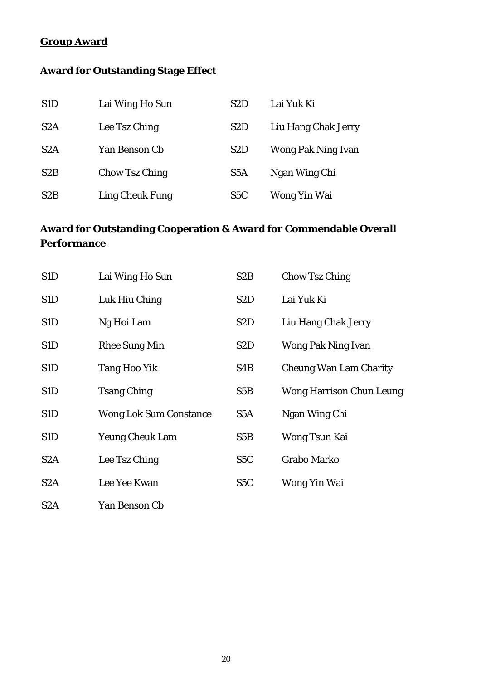#### **Group Award**

## **Award for Outstanding Stage Effect**

| S <sub>1</sub> D | Lai Wing Ho Sun        | S <sub>2</sub> D | Lai Yuk Ki                |
|------------------|------------------------|------------------|---------------------------|
| S2A              | Lee Tsz Ching          | S <sub>2</sub> D | Liu Hang Chak Jerry       |
| S2A              | Yan Benson Cb          | S <sub>2</sub> D | <b>Wong Pak Ning Ivan</b> |
| S2B              | <b>Chow Tsz Ching</b>  | S <sub>5</sub> A | Ngan Wing Chi             |
| S <sub>2</sub> B | <b>Ling Cheuk Fung</b> | S <sub>5</sub> C | Wong Yin Wai              |

## **Award for Outstanding Cooperation & Award for Commendable Overall Performance**

| S <sub>1</sub> D | Lai Wing Ho Sun               | S <sub>2</sub> B | Chow Tsz Ching                  |
|------------------|-------------------------------|------------------|---------------------------------|
| S <sub>1</sub> D | Luk Hiu Ching                 | S <sub>2</sub> D | Lai Yuk Ki                      |
| S <sub>1</sub> D | Ng Hoi Lam                    | S <sub>2</sub> D | Liu Hang Chak Jerry             |
| S <sub>1</sub> D | <b>Rhee Sung Min</b>          | S <sub>2</sub> D | Wong Pak Ning Ivan              |
| S <sub>1</sub> D | <b>Tang Hoo Yik</b>           | S <sub>4</sub> B | <b>Cheung Wan Lam Charity</b>   |
| S1D              | <b>Tsang Ching</b>            | S5B              | <b>Wong Harrison Chun Leung</b> |
| S1D              | <b>Wong Lok Sum Constance</b> | S <sub>5</sub> A | Ngan Wing Chi                   |
| S <sub>1</sub> D | <b>Yeung Cheuk Lam</b>        | S5B              | Wong Tsun Kai                   |
| S <sub>2</sub> A | Lee Tsz Ching                 | S <sub>5</sub> C | <b>Grabo Marko</b>              |
| S <sub>2</sub> A | Lee Yee Kwan                  | S <sub>5</sub> C | Wong Yin Wai                    |
| S <sub>2</sub> A | Yan Benson Cb                 |                  |                                 |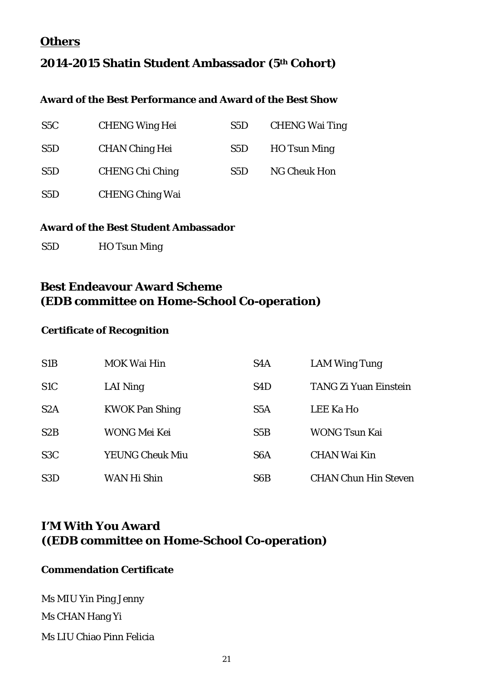#### **Others**

### **2014-2015 Shatin Student Ambassador (5th Cohort)**

#### **Award of the Best Performance and Award of the Best Show**

| S <sub>5</sub> C | <b>CHENG Wing Hei</b>  | S5D | <b>CHENG Wai Ting</b> |
|------------------|------------------------|-----|-----------------------|
| S <sub>5</sub> D | <b>CHAN Ching Hei</b>  | S5D | <b>HO</b> Tsun Ming   |
| S5D              | <b>CHENG Chi Ching</b> | S5D | <b>NG Cheuk Hon</b>   |
| S5D              | <b>CHENG Ching Wai</b> |     |                       |

#### **Award of the Best Student Ambassador**

S5D HO Tsun Ming

#### **Best Endeavour Award Scheme (EDB committee on Home-School Co-operation)**

#### **Certificate of Recognition**

| S <sub>1</sub> B | <b>MOK Wai Hin</b>     | S <sub>4</sub> A | <b>LAM Wing Tung</b>         |
|------------------|------------------------|------------------|------------------------------|
| S <sub>1</sub> C | LAI Ning               | S <sub>4</sub> D | <b>TANG Zi Yuan Einstein</b> |
| S2A              | <b>KWOK Pan Shing</b>  | S5A              | <b>LEE Ka Ho</b>             |
| S2B              | WONG Mei Kei           | S5B              | WONG Tsun Kai                |
| S <sub>3</sub> C | <b>YEUNG Cheuk Miu</b> | S <sub>6</sub> A | <b>CHAN Wai Kin</b>          |
| S <sub>3</sub> D | WAN Hi Shin            | S <sub>6</sub> B | <b>CHAN Chun Hin Steven</b>  |

## **I'M With You Award ((EDB committee on Home-School Co-operation)**

#### **Commendation Certificate**

Ms MIU Yin Ping Jenny Ms CHAN Hang Yi Ms LIU Chiao Pinn Felicia